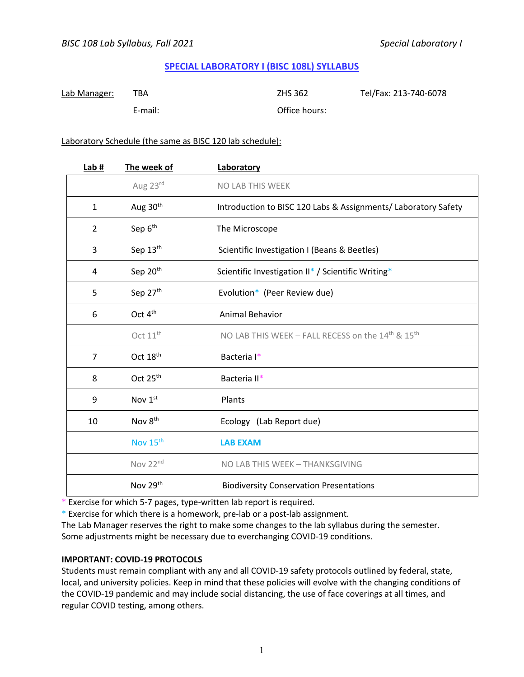# **SPECIAL LABORATORY I (BISC 108L) SYLLABUS**

| Lab Manager: | TBA     | ZHS 362       | Tel/Fax: 213-740-6078 |
|--------------|---------|---------------|-----------------------|
|              | E-mail: | Office hours: |                       |

## Laboratory Schedule (the same as BISC 120 lab schedule):

| Lab#           | The week of          | Laboratory                                                                |
|----------------|----------------------|---------------------------------------------------------------------------|
|                | Aug 23rd             | NO LAB THIS WEEK                                                          |
| $\mathbf{1}$   | Aug 30 <sup>th</sup> | Introduction to BISC 120 Labs & Assignments/ Laboratory Safety            |
| $\overline{2}$ | Sep 6 <sup>th</sup>  | The Microscope                                                            |
| 3              | Sep 13th             | Scientific Investigation I (Beans & Beetles)                              |
| 4              | Sep 20 <sup>th</sup> | Scientific Investigation II* / Scientific Writing*                        |
| 5              | Sep 27th             | Evolution* (Peer Review due)                                              |
| 6              | Oct $4th$            | <b>Animal Behavior</b>                                                    |
|                | Oct 11 <sup>th</sup> | NO LAB THIS WEEK - FALL RECESS on the 14 <sup>th</sup> & 15 <sup>th</sup> |
| $\overline{7}$ | Oct 18 <sup>th</sup> | Bacteria I*                                                               |
| 8              | Oct $25th$           | Bacteria II*                                                              |
| 9              | Nov 1st              | Plants                                                                    |
| 10             | Nov 8 <sup>th</sup>  | Ecology (Lab Report due)                                                  |
|                | Nov 15 <sup>th</sup> | <b>LAB EXAM</b>                                                           |
|                | Nov 22 <sup>nd</sup> | NO LAB THIS WEEK - THANKSGIVING                                           |
|                | Nov 29th             | <b>Biodiversity Conservation Presentations</b>                            |

\* Exercise for which 5-7 pages, type-written lab report is required.

\* Exercise for which there is a homework, pre-lab or a post-lab assignment.

The Lab Manager reserves the right to make some changes to the lab syllabus during the semester. Some adjustments might be necessary due to everchanging COVID-19 conditions.

## **IMPORTANT: COVID-19 PROTOCOLS**

Students must remain compliant with any and all COVID-19 safety protocols outlined by federal, state, local, and university policies. Keep in mind that these policies will evolve with the changing conditions of the COVID-19 pandemic and may include social distancing, the use of face coverings at all times, and regular COVID testing, among others.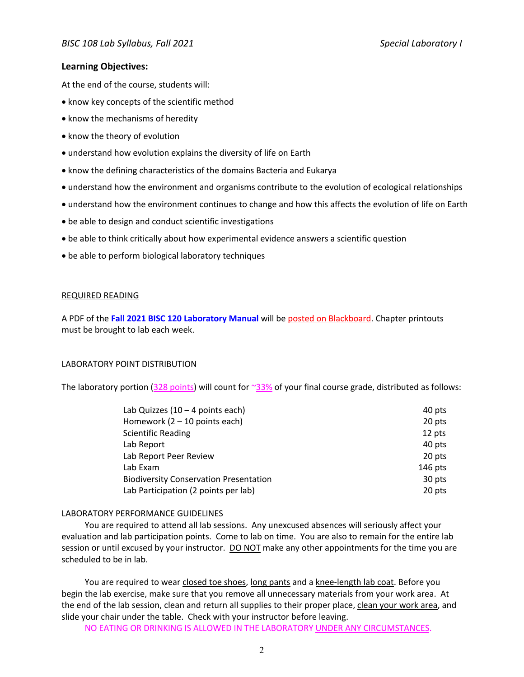# **Learning Objectives:**

At the end of the course, students will:

- know key concepts of the scientific method
- know the mechanisms of heredity
- know the theory of evolution
- understand how evolution explains the diversity of life on Earth
- know the defining characteristics of the domains Bacteria and Eukarya
- understand how the environment and organisms contribute to the evolution of ecological relationships
- understand how the environment continues to change and how this affects the evolution of life on Earth
- be able to design and conduct scientific investigations
- be able to think critically about how experimental evidence answers a scientific question
- be able to perform biological laboratory techniques

### REQUIRED READING

A PDF of the **Fall 2021 BISC 120 Laboratory Manual** will be posted on Blackboard. Chapter printouts must be brought to lab each week.

## LABORATORY POINT DISTRIBUTION

The laboratory portion ( $328$  points) will count for  $\frac{33\%}{33\%}$  of your final course grade, distributed as follows:

| Lab Quizzes $(10 - 4$ points each)            | 40 pts    |
|-----------------------------------------------|-----------|
| Homework $(2 - 10$ points each)               | 20 pts    |
| <b>Scientific Reading</b>                     | 12 pts    |
| Lab Report                                    | 40 pts    |
| Lab Report Peer Review                        | 20 pts    |
| Lab Exam                                      | $146$ pts |
| <b>Biodiversity Conservation Presentation</b> | 30 pts    |
| Lab Participation (2 points per lab)          | 20 pts    |

### LABORATORY PERFORMANCE GUIDELINES

You are required to attend all lab sessions. Any unexcused absences will seriously affect your evaluation and lab participation points. Come to lab on time. You are also to remain for the entire lab session or until excused by your instructor. DO NOT make any other appointments for the time you are scheduled to be in lab.

You are required to wear closed toe shoes, long pants and a knee-length lab coat. Before you begin the lab exercise, make sure that you remove all unnecessary materials from your work area. At the end of the lab session, clean and return all supplies to their proper place, clean your work area, and slide your chair under the table. Check with your instructor before leaving.

NO EATING OR DRINKING IS ALLOWED IN THE LABORATORY UNDER ANY CIRCUMSTANCES.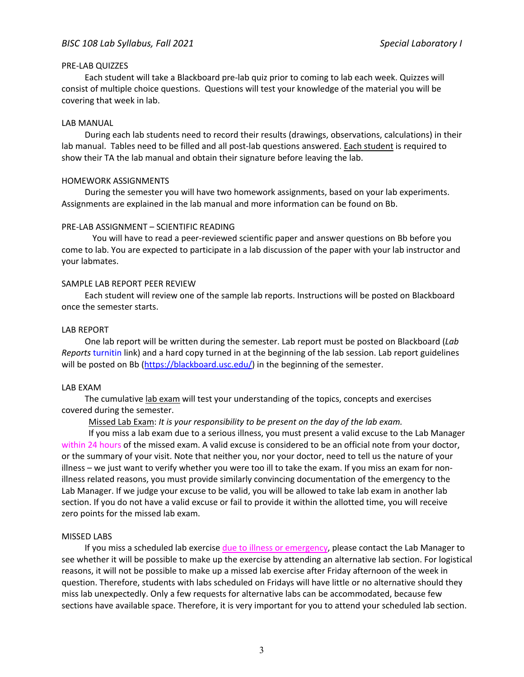## PRE-LAB QUIZZES

Each student will take a Blackboard pre-lab quiz prior to coming to lab each week. Quizzes will consist of multiple choice questions. Questions will test your knowledge of the material you will be covering that week in lab.

## LAB MANUAL

During each lab students need to record their results (drawings, observations, calculations) in their lab manual. Tables need to be filled and all post-lab questions answered. Each student is required to show their TA the lab manual and obtain their signature before leaving the lab.

## HOMEWORK ASSIGNMENTS

During the semester you will have two homework assignments, based on your lab experiments. Assignments are explained in the lab manual and more information can be found on Bb.

## PRE-LAB ASSIGNMENT – SCIENTIFIC READING

You will have to read a peer-reviewed scientific paper and answer questions on Bb before you come to lab. You are expected to participate in a lab discussion of the paper with your lab instructor and your labmates.

### SAMPLE LAB REPORT PEER REVIEW

Each student will review one of the sample lab reports. Instructions will be posted on Blackboard once the semester starts.

### LAB REPORT

One lab report will be written during the semester. Lab report must be posted on Blackboard (*Lab Reports* turnitin link) and a hard copy turned in at the beginning of the lab session. Lab report guidelines will be posted on Bb (https://blackboard.usc.edu/) in the beginning of the semester.

### LAB EXAM

The cumulative lab exam will test your understanding of the topics, concepts and exercises covered during the semester.

Missed Lab Exam: *It is your responsibility to be present on the day of the lab exam.*

If you miss a lab exam due to a serious illness, you must present a valid excuse to the Lab Manager within 24 hours of the missed exam. A valid excuse is considered to be an official note from your doctor, or the summary of your visit. Note that neither you, nor your doctor, need to tell us the nature of your illness – we just want to verify whether you were too ill to take the exam. If you miss an exam for nonillness related reasons, you must provide similarly convincing documentation of the emergency to the Lab Manager. If we judge your excuse to be valid, you will be allowed to take lab exam in another lab section. If you do not have a valid excuse or fail to provide it within the allotted time, you will receive zero points for the missed lab exam.

### MISSED LABS

If you miss a scheduled lab exercise due to illness or emergency, please contact the Lab Manager to see whether it will be possible to make up the exercise by attending an alternative lab section. For logistical reasons, it will not be possible to make up a missed lab exercise after Friday afternoon of the week in question. Therefore, students with labs scheduled on Fridays will have little or no alternative should they miss lab unexpectedly. Only a few requests for alternative labs can be accommodated, because few sections have available space. Therefore, it is very important for you to attend your scheduled lab section.